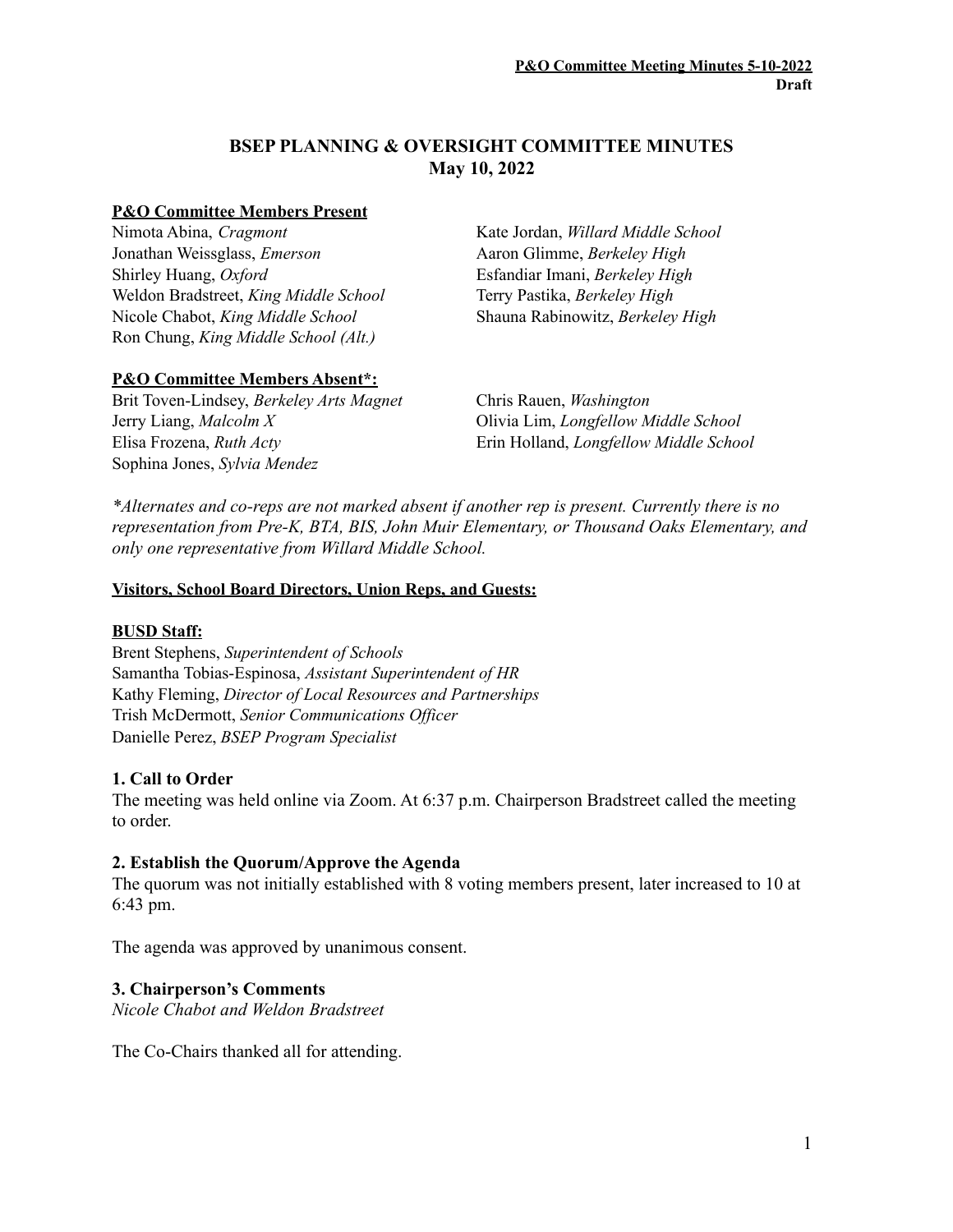# **BSEP PLANNING & OVERSIGHT COMMITTEE MINUTES May 10, 2022**

#### **P&O Committee Members Present**

Nimota Abina, *Cragmont* Jonathan Weissglass, *Emerson* Shirley Huang, *Oxford* Weldon Bradstreet, *King Middle School* Nicole Chabot, *King Middle School* Ron Chung, *King Middle School (Alt.)*

Kate Jordan, *Willard Middle School* Aaron Glimme, *Berkeley High* Esfandiar Imani, *Berkeley High* Terry Pastika, *Berkeley High* Shauna Rabinowitz, *Berkeley High*

# **P&O Committee Members Absent\*:**

Brit Toven-Lindsey, *Berkeley Arts Magnet* Chris Rauen, *Washington* Jerry Liang, *Malcolm X* Olivia Lim, *Longfellow Middle School* Elisa Frozena, *Ruth Acty* Erin Holland, *Longfellow Middle School* Sophina Jones, *Sylvia Mendez*

*\*Alternates and co-reps are not marked absent if another rep is present. Currently there is no representation from Pre-K, BTA, BIS, John Muir Elementary, or Thousand Oaks Elementary, and only one representative from Willard Middle School.*

#### **Visitors, School Board Directors, Union Reps, and Guests:**

#### **BUSD Staff:**

Brent Stephens, *Superintendent of Schools* Samantha Tobias-Espinosa, *Assistant Superintendent of HR* Kathy Fleming, *Director of Local Resources and Partnerships* Trish McDermott, *Senior Communications Of icer* Danielle Perez, *BSEP Program Specialist*

# **1. Call to Order**

The meeting was held online via Zoom. At 6:37 p.m. Chairperson Bradstreet called the meeting to order.

#### **2. Establish the Quorum/Approve the Agenda**

The quorum was not initially established with 8 voting members present, later increased to 10 at 6:43 pm.

The agenda was approved by unanimous consent.

# **3. Chairperson's Comments**

*Nicole Chabot and Weldon Bradstreet*

The Co-Chairs thanked all for attending.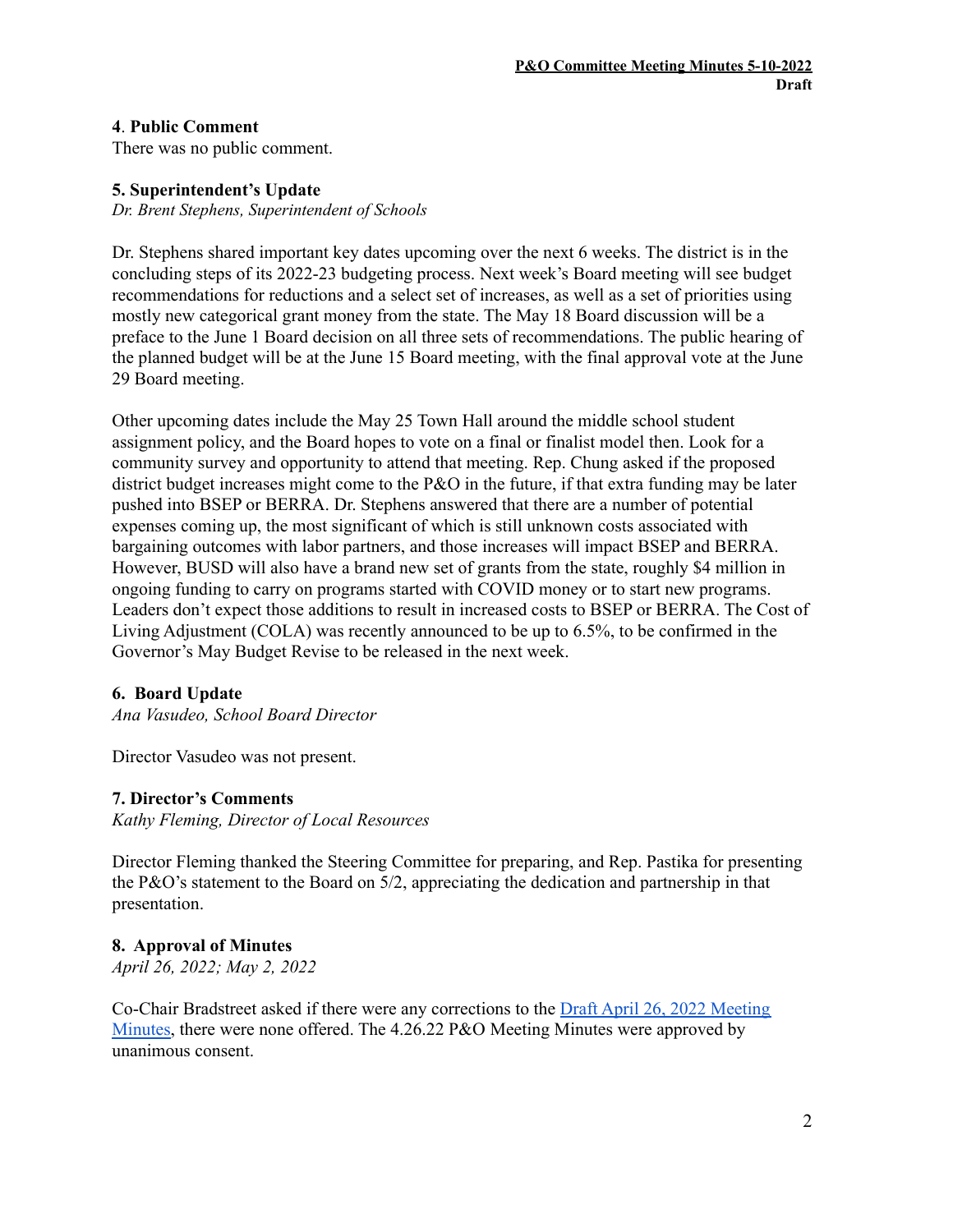## **4**. **Public Comment**

There was no public comment.

## **5. Superintendent's Update**

*Dr. Brent Stephens, Superintendent of Schools*

Dr. Stephens shared important key dates upcoming over the next 6 weeks. The district is in the concluding steps of its 2022-23 budgeting process. Next week's Board meeting will see budget recommendations for reductions and a select set of increases, as well as a set of priorities using mostly new categorical grant money from the state. The May 18 Board discussion will be a preface to the June 1 Board decision on all three sets of recommendations. The public hearing of the planned budget will be at the June 15 Board meeting, with the final approval vote at the June 29 Board meeting.

Other upcoming dates include the May 25 Town Hall around the middle school student assignment policy, and the Board hopes to vote on a final or finalist model then. Look for a community survey and opportunity to attend that meeting. Rep. Chung asked if the proposed district budget increases might come to the P&O in the future, if that extra funding may be later pushed into BSEP or BERRA. Dr. Stephens answered that there are a number of potential expenses coming up, the most significant of which is still unknown costs associated with bargaining outcomes with labor partners, and those increases will impact BSEP and BERRA. However, BUSD will also have a brand new set of grants from the state, roughly \$4 million in ongoing funding to carry on programs started with COVID money or to start new programs. Leaders don't expect those additions to result in increased costs to BSEP or BERRA. The Cost of Living Adjustment (COLA) was recently announced to be up to 6.5%, to be confirmed in the Governor's May Budget Revise to be released in the next week.

#### **6. Board Update**

*Ana Vasudeo, School Board Director*

Director Vasudeo was not present.

#### **7. Director's Comments**

*Kathy Fleming, Director of Local Resources*

Director Fleming thanked the Steering Committee for preparing, and Rep. Pastika for presenting the P&O's statement to the Board on 5/2, appreciating the dedication and partnership in that presentation.

#### **8. Approval of Minutes**

*April 26, 2022; May 2, 2022*

Co-Chair Bradstreet asked if there were any corrections to the Draft April 26, 2022 [Meeting](https://www.berkeleyschools.net/wp-content/uploads/2022/05/DRAFT-PO-Mtg-Minutes_220426.pdf) [Minutes,](https://www.berkeleyschools.net/wp-content/uploads/2022/05/DRAFT-PO-Mtg-Minutes_220426.pdf) there were none offered. The 4.26.22 P&O Meeting Minutes were approved by unanimous consent.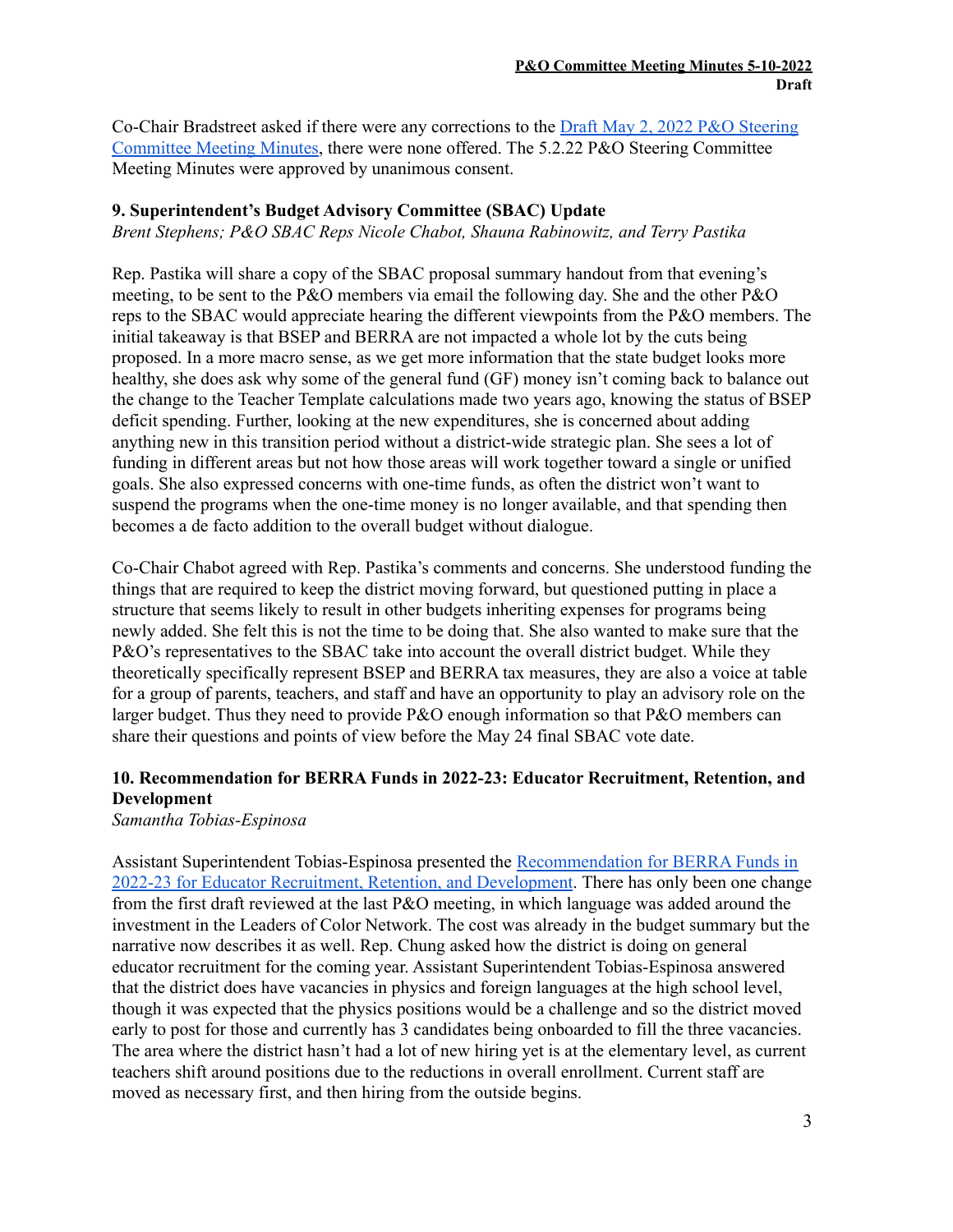Co-Chair Bradstreet asked if there were any corrections to the Draft May 2, 2022 P&O [Steering](https://www.berkeleyschools.net/wp-content/uploads/2022/05/DRAFT-PO-Steering-Committee-Mtg-Minutes_220502.pdf) [Committee](https://www.berkeleyschools.net/wp-content/uploads/2022/05/DRAFT-PO-Steering-Committee-Mtg-Minutes_220502.pdf) Meeting Minutes, there were none offered. The 5.2.22 P&O Steering Committee Meeting Minutes were approved by unanimous consent.

# **9. Superintendent's Budget Advisory Committee (SBAC) Update**

*Brent Stephens; P&O SBAC Reps Nicole Chabot, Shauna Rabinowitz, and Terry Pastika*

Rep. Pastika will share a copy of the SBAC proposal summary handout from that evening's meeting, to be sent to the P&O members via email the following day. She and the other P&O reps to the SBAC would appreciate hearing the different viewpoints from the P&O members. The initial takeaway is that BSEP and BERRA are not impacted a whole lot by the cuts being proposed. In a more macro sense, as we get more information that the state budget looks more healthy, she does ask why some of the general fund (GF) money isn't coming back to balance out the change to the Teacher Template calculations made two years ago, knowing the status of BSEP deficit spending. Further, looking at the new expenditures, she is concerned about adding anything new in this transition period without a district-wide strategic plan. She sees a lot of funding in different areas but not how those areas will work together toward a single or unified goals. She also expressed concerns with one-time funds, as often the district won't want to suspend the programs when the one-time money is no longer available, and that spending then becomes a de facto addition to the overall budget without dialogue.

Co-Chair Chabot agreed with Rep. Pastika's comments and concerns. She understood funding the things that are required to keep the district moving forward, but questioned putting in place a structure that seems likely to result in other budgets inheriting expenses for programs being newly added. She felt this is not the time to be doing that. She also wanted to make sure that the P&O's representatives to the SBAC take into account the overall district budget. While they theoretically specifically represent BSEP and BERRA tax measures, they are also a voice at table for a group of parents, teachers, and staff and have an opportunity to play an advisory role on the larger budget. Thus they need to provide P&O enough information so that P&O members can share their questions and points of view before the May 24 final SBAC vote date.

# **10. Recommendation for BERRA Funds in 2022-23: Educator Recruitment, Retention, and Development**

*Samantha Tobias-Espinosa*

Assistant Superintendent Tobias-Espinosa presented the [Recommendation](https://docs.google.com/document/d/1chMRyddfLZnndYWYW90J9QNC8xM2TAFK/edit?usp=sharing&ouid=104860127303609493471&rtpof=true&sd=true) for BERRA Funds in 2022-23 for Educator Recruitment, Retention, and [Development](https://docs.google.com/document/d/1chMRyddfLZnndYWYW90J9QNC8xM2TAFK/edit?usp=sharing&ouid=104860127303609493471&rtpof=true&sd=true). There has only been one change from the first draft reviewed at the last P&O meeting, in which language was added around the investment in the Leaders of Color Network. The cost was already in the budget summary but the narrative now describes it as well. Rep. Chung asked how the district is doing on general educator recruitment for the coming year. Assistant Superintendent Tobias-Espinosa answered that the district does have vacancies in physics and foreign languages at the high school level, though it was expected that the physics positions would be a challenge and so the district moved early to post for those and currently has 3 candidates being onboarded to fill the three vacancies. The area where the district hasn't had a lot of new hiring yet is at the elementary level, as current teachers shift around positions due to the reductions in overall enrollment. Current staff are moved as necessary first, and then hiring from the outside begins.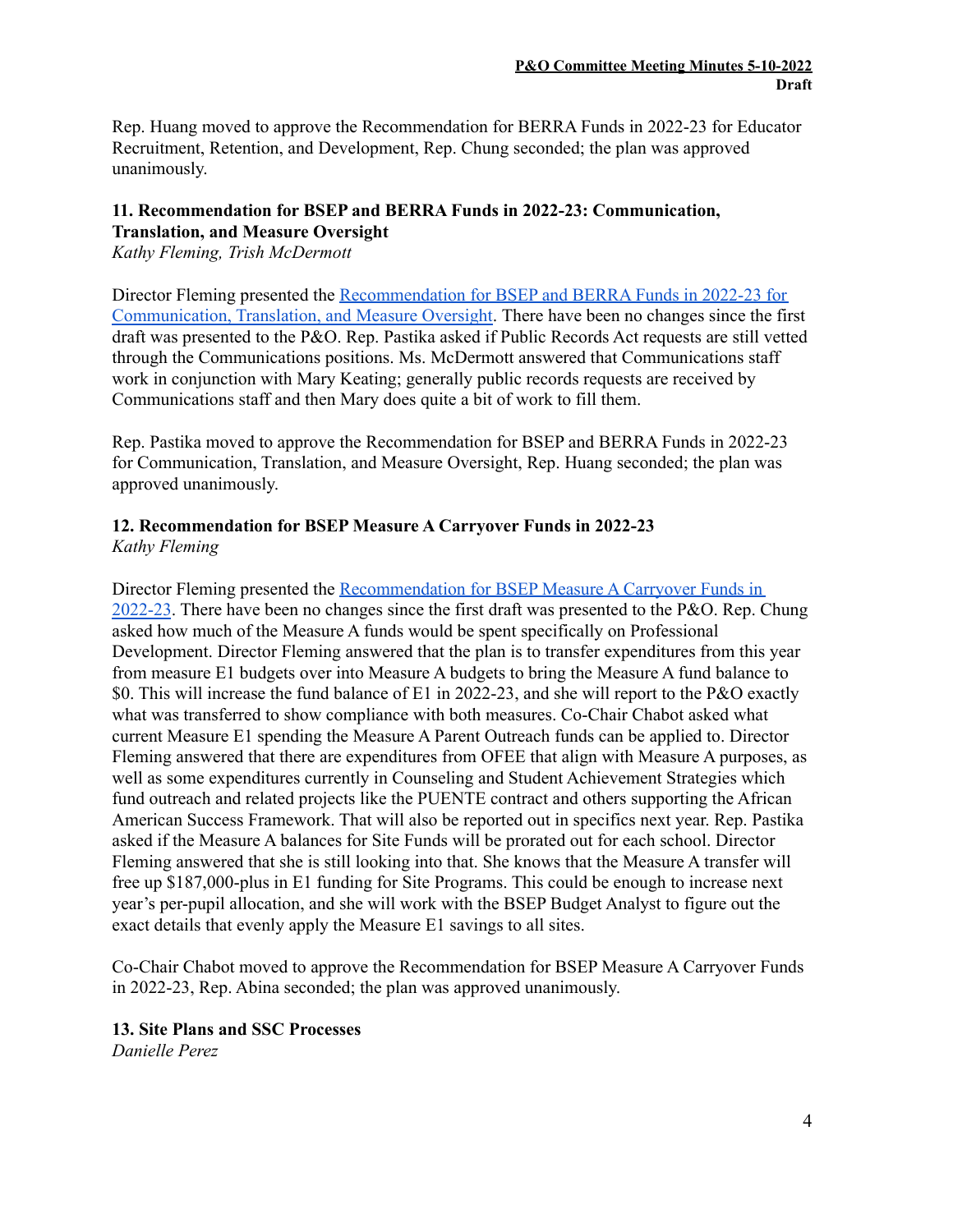Rep. Huang moved to approve the Recommendation for BERRA Funds in 2022-23 for Educator Recruitment, Retention, and Development, Rep. Chung seconded; the plan was approved unanimously.

### **11. Recommendation for BSEP and BERRA Funds in 2022-23: Communication, Translation, and Measure Oversight**

*Kathy Fleming, Trish McDermott*

Director Fleming presented the [Recommendation](https://www.berkeleyschools.net/wp-content/uploads/2022/05/Draft-2-BSEP_BERRA-Oversight-Translation-and-Communication-22-23-Annual-Plan-for-P_O-Approval-May-10-2022.pdf) for BSEP and BERRA Funds in 2022-23 for [Communication,](https://www.berkeleyschools.net/wp-content/uploads/2022/05/Draft-2-BSEP_BERRA-Oversight-Translation-and-Communication-22-23-Annual-Plan-for-P_O-Approval-May-10-2022.pdf) Translation, and Measure Oversight. There have been no changes since the first draft was presented to the P&O. Rep. Pastika asked if Public Records Act requests are still vetted through the Communications positions. Ms. McDermott answered that Communications staff work in conjunction with Mary Keating; generally public records requests are received by Communications staff and then Mary does quite a bit of work to fill them.

Rep. Pastika moved to approve the Recommendation for BSEP and BERRA Funds in 2022-23 for Communication, Translation, and Measure Oversight, Rep. Huang seconded; the plan was approved unanimously.

## **12. Recommendation for BSEP Measure A Carryover Funds in 2022-23** *Kathy Fleming*

Director Fleming presented the [Recommendation](https://www.berkeleyschools.net/wp-content/uploads/2022/05/Measure-A-Close-Out-Plan-2nd-Read-PO-5-10-22-Fin-for-P_O.pdf) for BSEP Measure A Carryover Funds in [2022-23](https://www.berkeleyschools.net/wp-content/uploads/2022/05/Measure-A-Close-Out-Plan-2nd-Read-PO-5-10-22-Fin-for-P_O.pdf). There have been no changes since the first draft was presented to the P&O. Rep. Chung asked how much of the Measure A funds would be spent specifically on Professional Development. Director Fleming answered that the plan is to transfer expenditures from this year from measure E1 budgets over into Measure A budgets to bring the Measure A fund balance to \$0. This will increase the fund balance of E1 in 2022-23, and she will report to the P&O exactly what was transferred to show compliance with both measures. Co-Chair Chabot asked what current Measure E1 spending the Measure A Parent Outreach funds can be applied to. Director Fleming answered that there are expenditures from OFEE that align with Measure A purposes, as well as some expenditures currently in Counseling and Student Achievement Strategies which fund outreach and related projects like the PUENTE contract and others supporting the African American Success Framework. That will also be reported out in specifics next year. Rep. Pastika asked if the Measure A balances for Site Funds will be prorated out for each school. Director Fleming answered that she is still looking into that. She knows that the Measure A transfer will free up \$187,000-plus in E1 funding for Site Programs. This could be enough to increase next year's per-pupil allocation, and she will work with the BSEP Budget Analyst to figure out the exact details that evenly apply the Measure E1 savings to all sites.

Co-Chair Chabot moved to approve the Recommendation for BSEP Measure A Carryover Funds in 2022-23, Rep. Abina seconded; the plan was approved unanimously.

# **13. Site Plans and SSC Processes**

*Danielle Perez*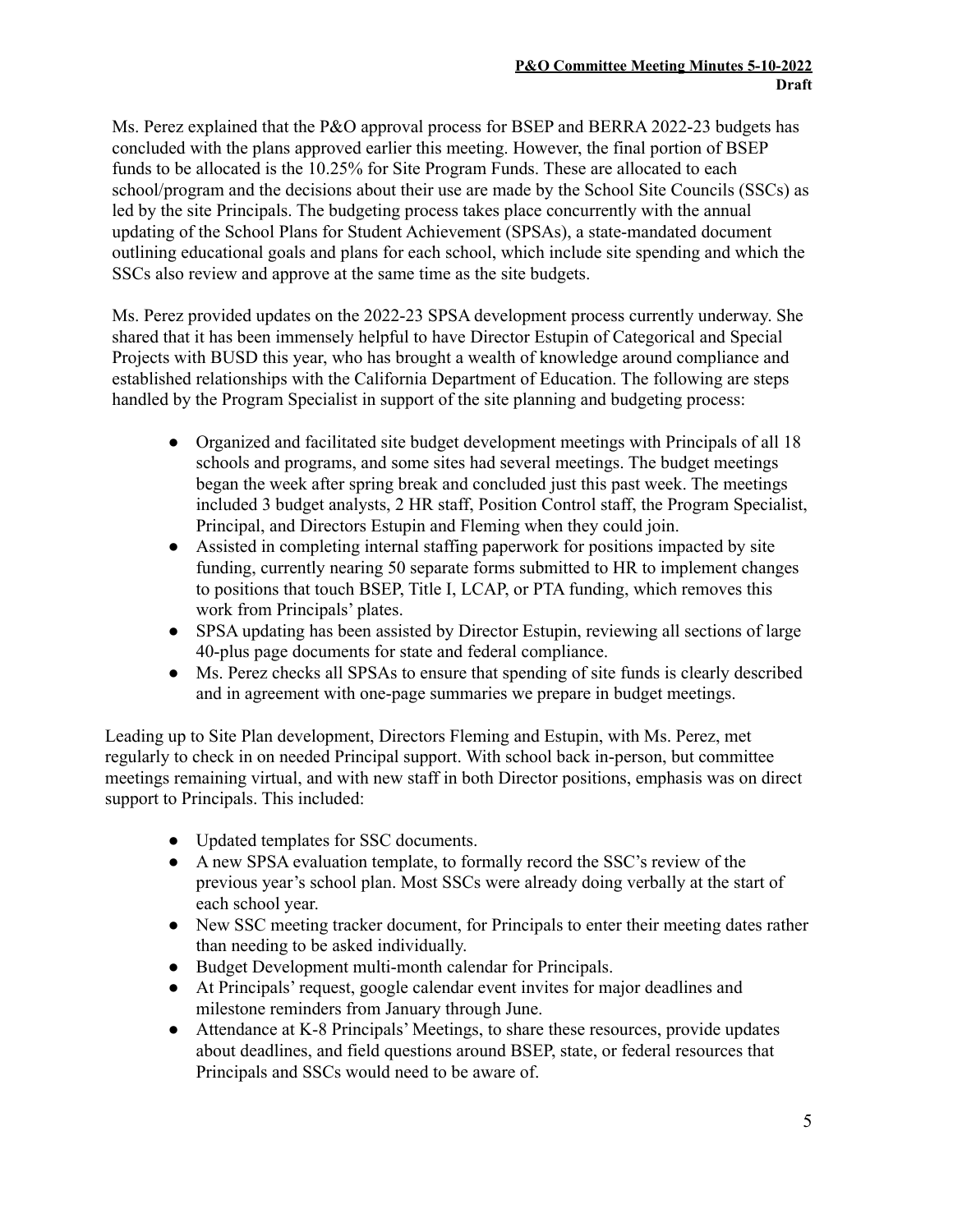Ms. Perez explained that the P&O approval process for BSEP and BERRA 2022-23 budgets has concluded with the plans approved earlier this meeting. However, the final portion of BSEP funds to be allocated is the 10.25% for Site Program Funds. These are allocated to each school/program and the decisions about their use are made by the School Site Councils (SSCs) as led by the site Principals. The budgeting process takes place concurrently with the annual updating of the School Plans for Student Achievement (SPSAs), a state-mandated document outlining educational goals and plans for each school, which include site spending and which the SSCs also review and approve at the same time as the site budgets.

Ms. Perez provided updates on the 2022-23 SPSA development process currently underway. She shared that it has been immensely helpful to have Director Estupin of Categorical and Special Projects with BUSD this year, who has brought a wealth of knowledge around compliance and established relationships with the California Department of Education. The following are steps handled by the Program Specialist in support of the site planning and budgeting process:

- Organized and facilitated site budget development meetings with Principals of all 18 schools and programs, and some sites had several meetings. The budget meetings began the week after spring break and concluded just this past week. The meetings included 3 budget analysts, 2 HR staff, Position Control staff, the Program Specialist, Principal, and Directors Estupin and Fleming when they could join.
- Assisted in completing internal staffing paperwork for positions impacted by site funding, currently nearing 50 separate forms submitted to HR to implement changes to positions that touch BSEP, Title I, LCAP, or PTA funding, which removes this work from Principals' plates.
- SPSA updating has been assisted by Director Estupin, reviewing all sections of large 40-plus page documents for state and federal compliance.
- Ms. Perez checks all SPSAs to ensure that spending of site funds is clearly described and in agreement with one-page summaries we prepare in budget meetings.

Leading up to Site Plan development, Directors Fleming and Estupin, with Ms. Perez, met regularly to check in on needed Principal support. With school back in-person, but committee meetings remaining virtual, and with new staff in both Director positions, emphasis was on direct support to Principals. This included:

- Updated templates for SSC documents.
- A new SPSA evaluation template, to formally record the SSC's review of the previous year's school plan. Most SSCs were already doing verbally at the start of each school year.
- New SSC meeting tracker document, for Principals to enter their meeting dates rather than needing to be asked individually.
- Budget Development multi-month calendar for Principals.
- At Principals' request, google calendar event invites for major deadlines and milestone reminders from January through June.
- Attendance at K-8 Principals' Meetings, to share these resources, provide updates about deadlines, and field questions around BSEP, state, or federal resources that Principals and SSCs would need to be aware of.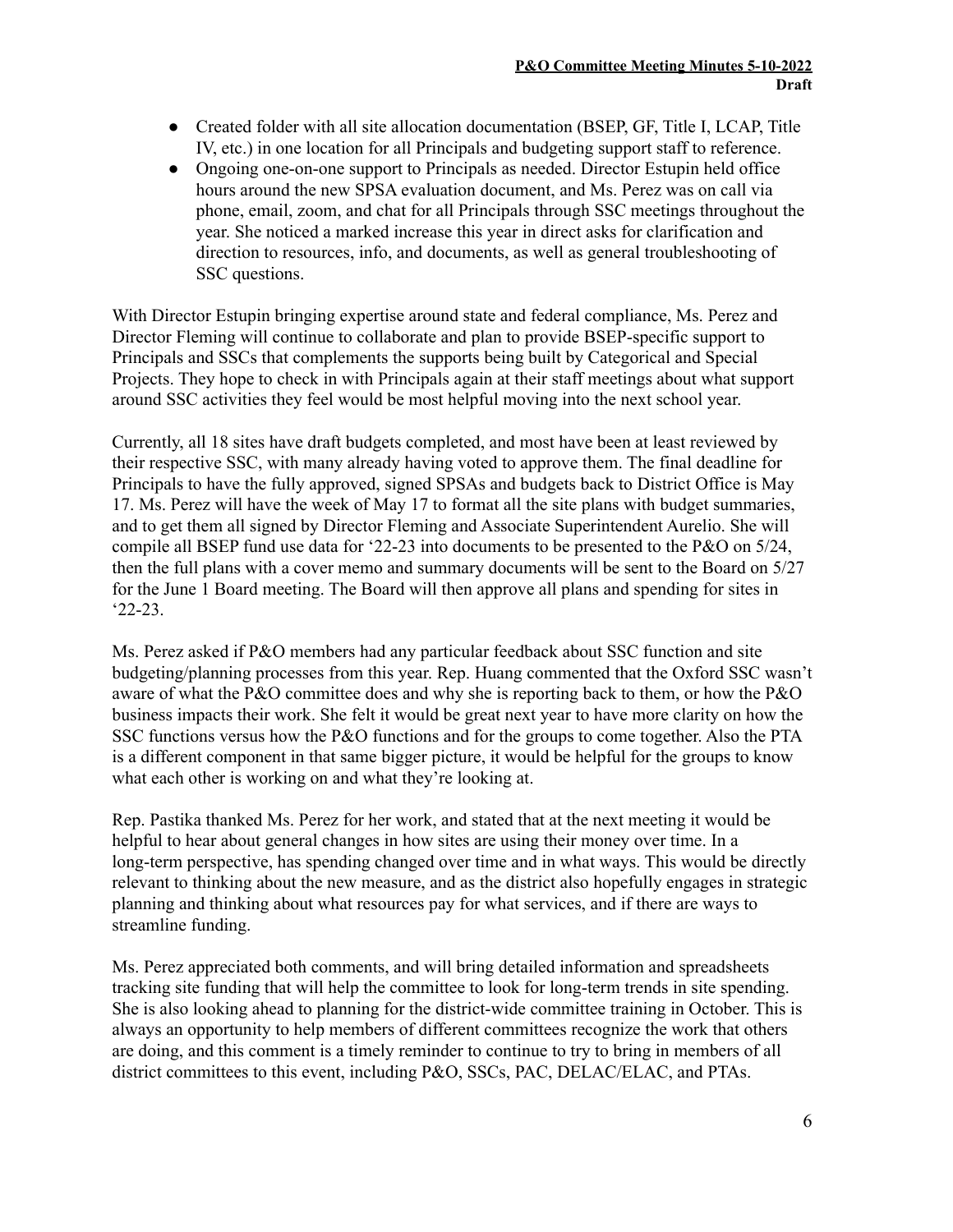- Created folder with all site allocation documentation (BSEP, GF, Title I, LCAP, Title IV, etc.) in one location for all Principals and budgeting support staff to reference.
- Ongoing one-on-one support to Principals as needed. Director Estupin held office hours around the new SPSA evaluation document, and Ms. Perez was on call via phone, email, zoom, and chat for all Principals through SSC meetings throughout the year. She noticed a marked increase this year in direct asks for clarification and direction to resources, info, and documents, as well as general troubleshooting of SSC questions.

With Director Estupin bringing expertise around state and federal compliance, Ms. Perez and Director Fleming will continue to collaborate and plan to provide BSEP-specific support to Principals and SSCs that complements the supports being built by Categorical and Special Projects. They hope to check in with Principals again at their staff meetings about what support around SSC activities they feel would be most helpful moving into the next school year.

Currently, all 18 sites have draft budgets completed, and most have been at least reviewed by their respective SSC, with many already having voted to approve them. The final deadline for Principals to have the fully approved, signed SPSAs and budgets back to District Office is May 17. Ms. Perez will have the week of May 17 to format all the site plans with budget summaries, and to get them all signed by Director Fleming and Associate Superintendent Aurelio. She will compile all BSEP fund use data for '22-23 into documents to be presented to the P&O on 5/24, then the full plans with a cover memo and summary documents will be sent to the Board on 5/27 for the June 1 Board meeting. The Board will then approve all plans and spending for sites in '22-23.

Ms. Perez asked if P&O members had any particular feedback about SSC function and site budgeting/planning processes from this year. Rep. Huang commented that the Oxford SSC wasn't aware of what the P&O committee does and why she is reporting back to them, or how the P&O business impacts their work. She felt it would be great next year to have more clarity on how the SSC functions versus how the P&O functions and for the groups to come together. Also the PTA is a different component in that same bigger picture, it would be helpful for the groups to know what each other is working on and what they're looking at.

Rep. Pastika thanked Ms. Perez for her work, and stated that at the next meeting it would be helpful to hear about general changes in how sites are using their money over time. In a long-term perspective, has spending changed over time and in what ways. This would be directly relevant to thinking about the new measure, and as the district also hopefully engages in strategic planning and thinking about what resources pay for what services, and if there are ways to streamline funding.

Ms. Perez appreciated both comments, and will bring detailed information and spreadsheets tracking site funding that will help the committee to look for long-term trends in site spending. She is also looking ahead to planning for the district-wide committee training in October. This is always an opportunity to help members of different committees recognize the work that others are doing, and this comment is a timely reminder to continue to try to bring in members of all district committees to this event, including P&O, SSCs, PAC, DELAC/ELAC, and PTAs.